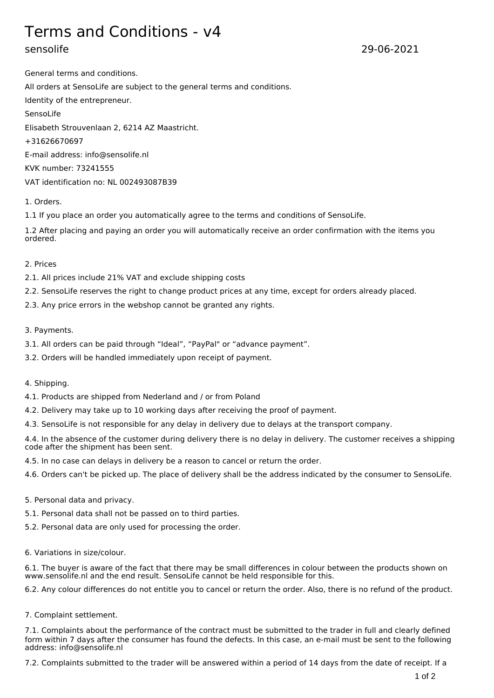# Terms and Conditions - v4

sensolife 29-06-2021

General terms and conditions. All orders at SensoLife are subject to the general terms and conditions. Identity of the entrepreneur. SensoLife Elisabeth Strouvenlaan 2, 6214 AZ Maastricht. +31626670697 E-mail address: info@sensolife.nl KVK number: 73241555 VAT identification no: NL 002493087B39

# 1. Orders.

1.1 If you place an order you automatically agree to the terms and conditions of SensoLife.

1.2 After placing and paying an order you will automatically receive an order confirmation with the items you ordered.

### 2. Prices

- 2.1. All prices include 21% VAT and exclude shipping costs
- 2.2. SensoLife reserves the right to change product prices at any time, except for orders already placed.
- 2.3. Any price errors in the webshop cannot be granted any rights.

### 3. Payments.

- 3.1. All orders can be paid through "Ideal", "PayPal" or "advance payment".
- 3.2. Orders will be handled immediately upon receipt of payment.

#### 4. Shipping.

- 4.1. Products are shipped from Nederland and / or from Poland
- 4.2. Delivery may take up to 10 working days after receiving the proof of payment.
- 4.3. SensoLife is not responsible for any delay in delivery due to delays at the transport company.

4.4. In the absence of the customer during delivery there is no delay in delivery. The customer receives a shipping code after the shipment has been sent.

4.5. In no case can delays in delivery be a reason to cancel or return the order.

4.6. Orders can't be picked up. The place of delivery shall be the address indicated by the consumer to SensoLife.

# 5. Personal data and privacy.

- 5.1. Personal data shall not be passed on to third parties.
- 5.2. Personal data are only used for processing the order.
- 6. Variations in size/colour.

6.1. The buyer is aware of the fact that there may be small differences in colour between the products shown on www.sensolife.nl and the end result. SensoLife cannot be held responsible for this.

6.2. Any colour differences do not entitle you to cancel or return the order. Also, there is no refund of the product.

#### 7. Complaint settlement.

7.1. Complaints about the performance of the contract must be submitted to the trader in full and clearly defined form within 7 days after the consumer has found the defects. In this case, an e-mail must be sent to the following address: info@sensolife.nl

7.2. Complaints submitted to the trader will be answered within a period of 14 days from the date of receipt. If a